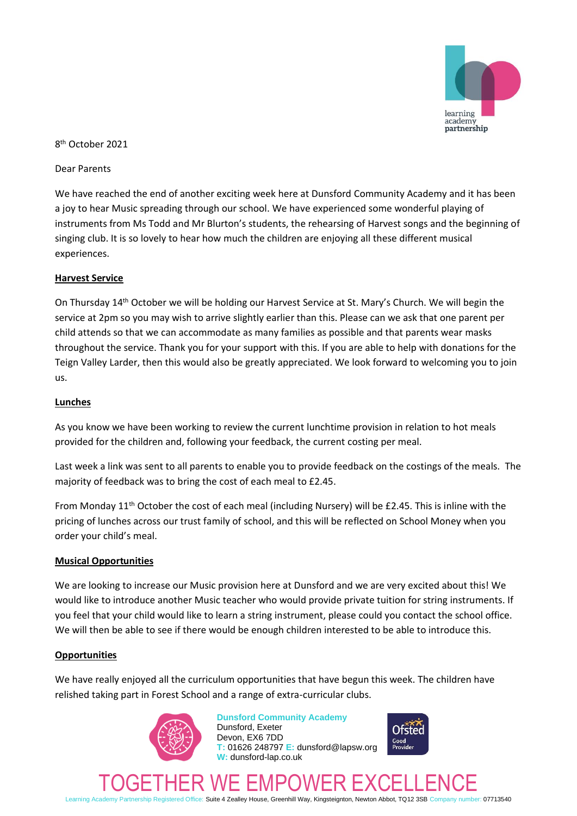

## 8 th October 2021

### Dear Parents

We have reached the end of another exciting week here at Dunsford Community Academy and it has been a joy to hear Music spreading through our school. We have experienced some wonderful playing of instruments from Ms Todd and Mr Blurton's students, the rehearsing of Harvest songs and the beginning of singing club. It is so lovely to hear how much the children are enjoying all these different musical experiences.

### **Harvest Service**

On Thursday 14th October we will be holding our Harvest Service at St. Mary's Church. We will begin the service at 2pm so you may wish to arrive slightly earlier than this. Please can we ask that one parent per child attends so that we can accommodate as many families as possible and that parents wear masks throughout the service. Thank you for your support with this. If you are able to help with donations for the Teign Valley Larder, then this would also be greatly appreciated. We look forward to welcoming you to join us.

### **Lunches**

As you know we have been working to review the current lunchtime provision in relation to hot meals provided for the children and, following your feedback, the current costing per meal.

Last week a link was sent to all parents to enable you to provide feedback on the costings of the meals. The majority of feedback was to bring the cost of each meal to £2.45.

From Monday 11<sup>th</sup> October the cost of each meal (including Nursery) will be £2.45. This is inline with the pricing of lunches across our trust family of school, and this will be reflected on School Money when you order your child's meal.

### **Musical Opportunities**

We are looking to increase our Music provision here at Dunsford and we are very excited about this! We would like to introduce another Music teacher who would provide private tuition for string instruments. If you feel that your child would like to learn a string instrument, please could you contact the school office. We will then be able to see if there would be enough children interested to be able to introduce this.

### **Opportunities**

We have really enjoyed all the curriculum opportunities that have begun this week. The children have relished taking part in Forest School and a range of extra-curricular clubs.



**Dunsford Community Academy** Dunsford, Exeter Devon, EX6 7DD **T:** 01626 248797 **E:** dunsford@lapsw.org **W:** dunsford-lap.co.uk



TOGETHER WE EMPOWER EXCELLENCE Learning Academy Partnership Registered Office: Suite 4 Zealley House, Greenhill Way, Kingsteignton, Newton Abbot, TQ12 3SB Company number: 07713540